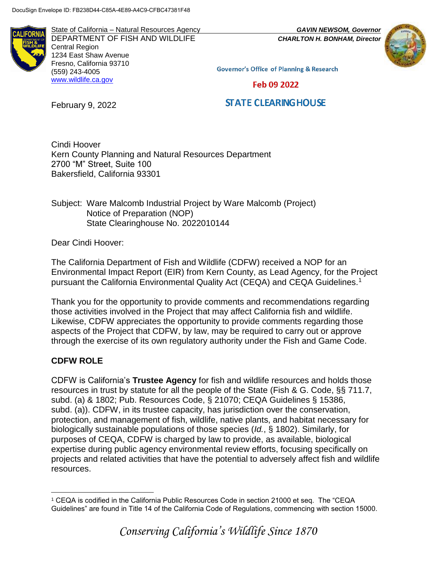State of California – Natural Resources Agency *GAVIN NEWSOM, Governor* DEPARTMENT OF FISH AND WILDLIFE *CHARLTON H. BONHAM, Director*  Central Region 1234 East Shaw Avenue Fresno, California 93710 (559) 243-4005 [www.wildlife.ca.gov](http://www.wildlife.ca.gov/)



**Governor's Office of Planning & Research** 

Feb 09 2022

# **STATE CLEARING HOUSE**

February 9, 2022

Cindi Hoover Kern County Planning and Natural Resources Department 2700 "M" Street, Suite 100 Bakersfield, California 93301

Subject: Ware Malcomb Industrial Project by Ware Malcomb (Project) Notice of Preparation (NOP) State Clearinghouse No. 2022010144

Dear Cindi Hoover:

The California Department of Fish and Wildlife (CDFW) received a NOP for an Environmental Impact Report (EIR) from Kern County, as Lead Agency, for the Project pursuant the California Environmental Quality Act (CEQA) and CEQA Guidelines.<sup>1</sup>

Thank you for the opportunity to provide comments and recommendations regarding those activities involved in the Project that may affect California fish and wildlife. Likewise, CDFW appreciates the opportunity to provide comments regarding those aspects of the Project that CDFW, by law, may be required to carry out or approve through the exercise of its own regulatory authority under the Fish and Game Code.

# **CDFW ROLE**

CDFW is California's **Trustee Agency** for fish and wildlife resources and holds those resources in trust by statute for all the people of the State (Fish & G. Code, §§ 711.7, subd. (a) & 1802; Pub. Resources Code, § 21070; CEQA Guidelines § 15386, subd. (a)). CDFW, in its trustee capacity, has jurisdiction over the conservation, protection, and management of fish, wildlife, native plants, and habitat necessary for biologically sustainable populations of those species (*Id.*, § 1802). Similarly, for purposes of CEQA, CDFW is charged by law to provide, as available, biological expertise during public agency environmental review efforts, focusing specifically on projects and related activities that have the potential to adversely affect fish and wildlife resources.

 $\overline{a}$ <sup>1</sup> CEQA is codified in the California Public Resources Code in section 21000 et seq. The "CEQA Guidelines" are found in Title 14 of the California Code of Regulations, commencing with section 15000.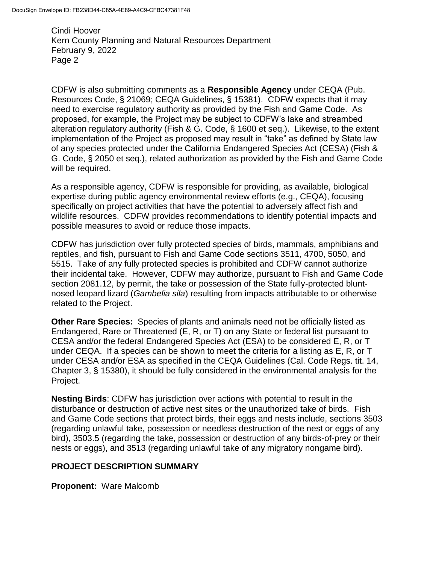CDFW is also submitting comments as a **Responsible Agency** under CEQA (Pub. Resources Code, § 21069; CEQA Guidelines, § 15381). CDFW expects that it may need to exercise regulatory authority as provided by the Fish and Game Code. As proposed, for example, the Project may be subject to CDFW's lake and streambed alteration regulatory authority (Fish & G. Code, § 1600 et seq.). Likewise, to the extent implementation of the Project as proposed may result in "take" as defined by State law of any species protected under the California Endangered Species Act (CESA) (Fish & G. Code, § 2050 et seq.), related authorization as provided by the Fish and Game Code will be required.

As a responsible agency, CDFW is responsible for providing, as available, biological expertise during public agency environmental review efforts (e.g., CEQA), focusing specifically on project activities that have the potential to adversely affect fish and wildlife resources. CDFW provides recommendations to identify potential impacts and possible measures to avoid or reduce those impacts.

CDFW has jurisdiction over fully protected species of birds, mammals, amphibians and reptiles, and fish, pursuant to Fish and Game Code sections 3511, 4700, 5050, and 5515. Take of any fully protected species is prohibited and CDFW cannot authorize their incidental take. However, CDFW may authorize, pursuant to Fish and Game Code section 2081.12, by permit, the take or possession of the State fully-protected bluntnosed leopard lizard (*Gambelia sila*) resulting from impacts attributable to or otherwise related to the Project.

**Other Rare Species:** Species of plants and animals need not be officially listed as Endangered, Rare or Threatened (E, R, or T) on any State or federal list pursuant to CESA and/or the federal Endangered Species Act (ESA) to be considered E, R, or T under CEQA. If a species can be shown to meet the criteria for a listing as E, R, or T under CESA and/or ESA as specified in the CEQA Guidelines (Cal. Code Regs. tit. 14, Chapter 3, § 15380), it should be fully considered in the environmental analysis for the Project.

**Nesting Birds**: CDFW has jurisdiction over actions with potential to result in the disturbance or destruction of active nest sites or the unauthorized take of birds. Fish and Game Code sections that protect birds, their eggs and nests include, sections 3503 (regarding unlawful take, possession or needless destruction of the nest or eggs of any bird), 3503.5 (regarding the take, possession or destruction of any birds-of-prey or their nests or eggs), and 3513 (regarding unlawful take of any migratory nongame bird).

## **PROJECT DESCRIPTION SUMMARY**

**Proponent:** Ware Malcomb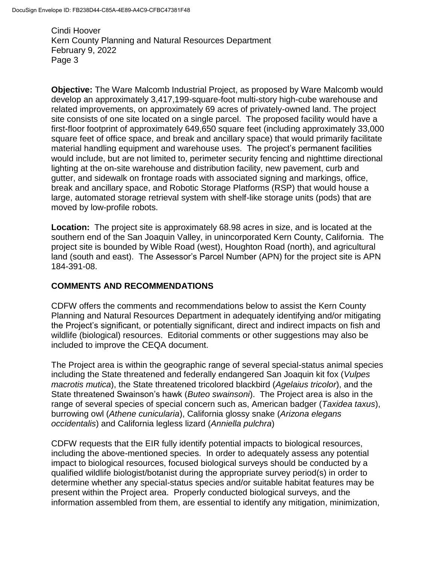**Objective:** The Ware Malcomb Industrial Project, as proposed by Ware Malcomb would develop an approximately 3,417,199-square-foot multi-story high-cube warehouse and related improvements, on approximately 69 acres of privately-owned land. The project site consists of one site located on a single parcel. The proposed facility would have a first-floor footprint of approximately 649,650 square feet (including approximately 33,000 square feet of office space, and break and ancillary space) that would primarily facilitate material handling equipment and warehouse uses. The project's permanent facilities would include, but are not limited to, perimeter security fencing and nighttime directional lighting at the on-site warehouse and distribution facility, new pavement, curb and gutter, and sidewalk on frontage roads with associated signing and markings, office, break and ancillary space, and Robotic Storage Platforms (RSP) that would house a large, automated storage retrieval system with shelf-like storage units (pods) that are moved by low-profile robots.

**Location:** The project site is approximately 68.98 acres in size, and is located at the southern end of the San Joaquin Valley, in unincorporated Kern County, California. The project site is bounded by Wible Road (west), Houghton Road (north), and agricultural land (south and east). The Assessor's Parcel Number (APN) for the project site is APN 184-391-08.

## **COMMENTS AND RECOMMENDATIONS**

CDFW offers the comments and recommendations below to assist the Kern County Planning and Natural Resources Department in adequately identifying and/or mitigating the Project's significant, or potentially significant, direct and indirect impacts on fish and wildlife (biological) resources. Editorial comments or other suggestions may also be included to improve the CEQA document.

The Project area is within the geographic range of several special-status animal species including the State threatened and federally endangered San Joaquin kit fox (*Vulpes macrotis mutica*), the State threatened tricolored blackbird (*Agelaius tricolor*), and the State threatened Swainson's hawk (*Buteo swainsoni*). The Project area is also in the range of several species of special concern such as, American badger (*Taxidea taxus*), burrowing owl (*Athene cunicularia*), California glossy snake (*Arizona elegans occidentalis*) and California legless lizard (*Anniella pulchra*)

CDFW requests that the EIR fully identify potential impacts to biological resources, including the above-mentioned species. In order to adequately assess any potential impact to biological resources, focused biological surveys should be conducted by a qualified wildlife biologist/botanist during the appropriate survey period(s) in order to determine whether any special-status species and/or suitable habitat features may be present within the Project area. Properly conducted biological surveys, and the information assembled from them, are essential to identify any mitigation, minimization,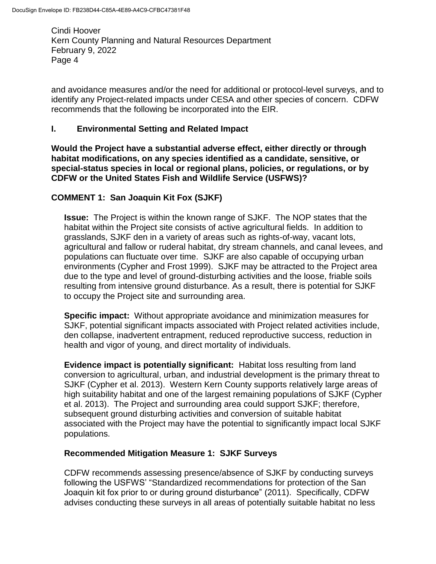and avoidance measures and/or the need for additional or protocol-level surveys, and to identify any Project-related impacts under CESA and other species of concern. CDFW recommends that the following be incorporated into the EIR.

#### **I. Environmental Setting and Related Impact**

**Would the Project have a substantial adverse effect, either directly or through habitat modifications, on any species identified as a candidate, sensitive, or special-status species in local or regional plans, policies, or regulations, or by CDFW or the United States Fish and Wildlife Service (USFWS)?** 

## **COMMENT 1: San Joaquin Kit Fox (SJKF)**

**Issue:** The Project is within the known range of SJKF. The NOP states that the habitat within the Project site consists of active agricultural fields. In addition to grasslands, SJKF den in a variety of areas such as rights-of-way, vacant lots, agricultural and fallow or ruderal habitat, dry stream channels, and canal levees, and populations can fluctuate over time. SJKF are also capable of occupying urban environments (Cypher and Frost 1999). SJKF may be attracted to the Project area due to the type and level of ground-disturbing activities and the loose, friable soils resulting from intensive ground disturbance. As a result, there is potential for SJKF to occupy the Project site and surrounding area.

**Specific impact:** Without appropriate avoidance and minimization measures for SJKF, potential significant impacts associated with Project related activities include, den collapse, inadvertent entrapment, reduced reproductive success, reduction in health and vigor of young, and direct mortality of individuals.

**Evidence impact is potentially significant:** Habitat loss resulting from land conversion to agricultural, urban, and industrial development is the primary threat to SJKF (Cypher et al. 2013). Western Kern County supports relatively large areas of high suitability habitat and one of the largest remaining populations of SJKF (Cypher et al. 2013). The Project and surrounding area could support SJKF; therefore, subsequent ground disturbing activities and conversion of suitable habitat associated with the Project may have the potential to significantly impact local SJKF populations.

#### **Recommended Mitigation Measure 1: SJKF Surveys**

CDFW recommends assessing presence/absence of SJKF by conducting surveys following the USFWS' "Standardized recommendations for protection of the San Joaquin kit fox prior to or during ground disturbance" (2011). Specifically, CDFW advises conducting these surveys in all areas of potentially suitable habitat no less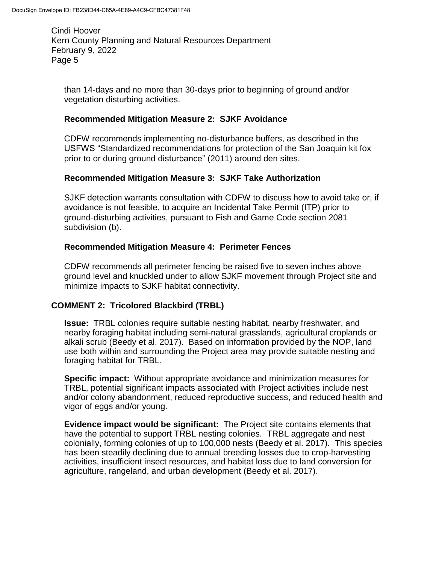than 14-days and no more than 30-days prior to beginning of ground and/or vegetation disturbing activities.

## **Recommended Mitigation Measure 2: SJKF Avoidance**

CDFW recommends implementing no-disturbance buffers, as described in the USFWS "Standardized recommendations for protection of the San Joaquin kit fox prior to or during ground disturbance" (2011) around den sites.

## **Recommended Mitigation Measure 3: SJKF Take Authorization**

SJKF detection warrants consultation with CDFW to discuss how to avoid take or, if avoidance is not feasible, to acquire an Incidental Take Permit (ITP) prior to ground-disturbing activities, pursuant to Fish and Game Code section 2081 subdivision (b).

## **Recommended Mitigation Measure 4: Perimeter Fences**

CDFW recommends all perimeter fencing be raised five to seven inches above ground level and knuckled under to allow SJKF movement through Project site and minimize impacts to SJKF habitat connectivity.

## **COMMENT 2: Tricolored Blackbird (TRBL)**

**Issue:** TRBL colonies require suitable nesting habitat, nearby freshwater, and nearby foraging habitat including semi-natural grasslands, agricultural croplands or alkali scrub (Beedy et al. 2017). Based on information provided by the NOP, land use both within and surrounding the Project area may provide suitable nesting and foraging habitat for TRBL.

**Specific impact:** Without appropriate avoidance and minimization measures for TRBL, potential significant impacts associated with Project activities include nest and/or colony abandonment, reduced reproductive success, and reduced health and vigor of eggs and/or young.

**Evidence impact would be significant:** The Project site contains elements that have the potential to support TRBL nesting colonies. TRBL aggregate and nest colonially, forming colonies of up to 100,000 nests (Beedy et al. 2017). This species has been steadily declining due to annual breeding losses due to crop-harvesting activities, insufficient insect resources, and habitat loss due to land conversion for agriculture, rangeland, and urban development (Beedy et al. 2017).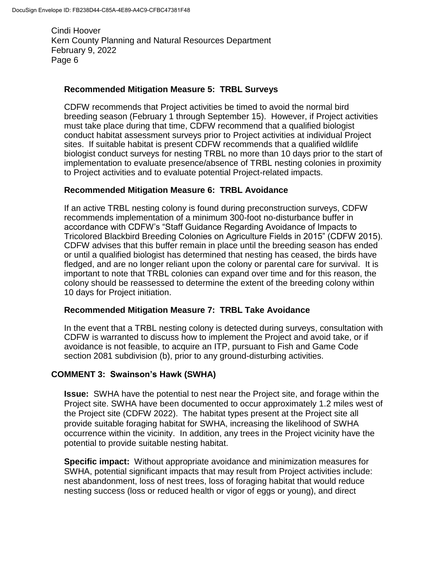#### **Recommended Mitigation Measure 5: TRBL Surveys**

CDFW recommends that Project activities be timed to avoid the normal bird breeding season (February 1 through September 15). However, if Project activities must take place during that time, CDFW recommend that a qualified biologist conduct habitat assessment surveys prior to Project activities at individual Project sites. If suitable habitat is present CDFW recommends that a qualified wildlife biologist conduct surveys for nesting TRBL no more than 10 days prior to the start of implementation to evaluate presence/absence of TRBL nesting colonies in proximity to Project activities and to evaluate potential Project-related impacts.

#### **Recommended Mitigation Measure 6: TRBL Avoidance**

If an active TRBL nesting colony is found during preconstruction surveys, CDFW recommends implementation of a minimum 300-foot no-disturbance buffer in accordance with CDFW's "Staff Guidance Regarding Avoidance of Impacts to Tricolored Blackbird Breeding Colonies on Agriculture Fields in 2015" (CDFW 2015). CDFW advises that this buffer remain in place until the breeding season has ended or until a qualified biologist has determined that nesting has ceased, the birds have fledged, and are no longer reliant upon the colony or parental care for survival. It is important to note that TRBL colonies can expand over time and for this reason, the colony should be reassessed to determine the extent of the breeding colony within 10 days for Project initiation.

#### **Recommended Mitigation Measure 7: TRBL Take Avoidance**

In the event that a TRBL nesting colony is detected during surveys, consultation with CDFW is warranted to discuss how to implement the Project and avoid take, or if avoidance is not feasible, to acquire an ITP, pursuant to Fish and Game Code section 2081 subdivision (b), prior to any ground-disturbing activities.

#### **COMMENT 3: Swainson's Hawk (SWHA)**

**Issue:** SWHA have the potential to nest near the Project site, and forage within the Project site. SWHA have been documented to occur approximately 1.2 miles west of the Project site (CDFW 2022). The habitat types present at the Project site all provide suitable foraging habitat for SWHA, increasing the likelihood of SWHA occurrence within the vicinity. In addition, any trees in the Project vicinity have the potential to provide suitable nesting habitat.

**Specific impact:** Without appropriate avoidance and minimization measures for SWHA, potential significant impacts that may result from Project activities include: nest abandonment, loss of nest trees, loss of foraging habitat that would reduce nesting success (loss or reduced health or vigor of eggs or young), and direct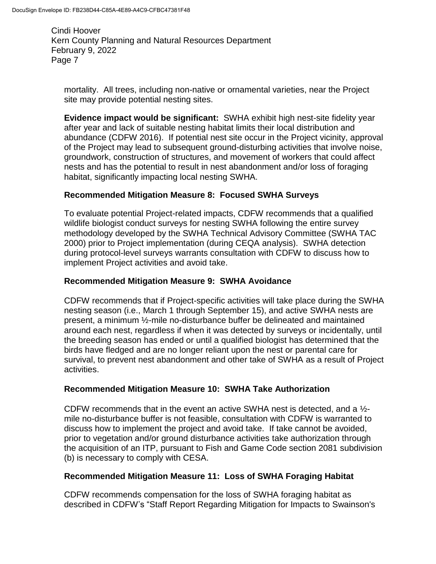mortality. All trees, including non-native or ornamental varieties, near the Project site may provide potential nesting sites.

**Evidence impact would be significant:** SWHA exhibit high nest-site fidelity year after year and lack of suitable nesting habitat limits their local distribution and abundance (CDFW 2016). If potential nest site occur in the Project vicinity, approval of the Project may lead to subsequent ground-disturbing activities that involve noise, groundwork, construction of structures, and movement of workers that could affect nests and has the potential to result in nest abandonment and/or loss of foraging habitat, significantly impacting local nesting SWHA.

# **Recommended Mitigation Measure 8: Focused SWHA Surveys**

To evaluate potential Project-related impacts, CDFW recommends that a qualified wildlife biologist conduct surveys for nesting SWHA following the entire survey methodology developed by the SWHA Technical Advisory Committee (SWHA TAC 2000) prior to Project implementation (during CEQA analysis). SWHA detection during protocol-level surveys warrants consultation with CDFW to discuss how to implement Project activities and avoid take.

# **Recommended Mitigation Measure 9: SWHA Avoidance**

CDFW recommends that if Project-specific activities will take place during the SWHA nesting season (i.e., March 1 through September 15), and active SWHA nests are present, a minimum ½-mile no-disturbance buffer be delineated and maintained around each nest, regardless if when it was detected by surveys or incidentally, until the breeding season has ended or until a qualified biologist has determined that the birds have fledged and are no longer reliant upon the nest or parental care for survival, to prevent nest abandonment and other take of SWHA as a result of Project activities.

## **Recommended Mitigation Measure 10: SWHA Take Authorization**

CDFW recommends that in the event an active SWHA nest is detected, and a  $\frac{1}{2}$ mile no-disturbance buffer is not feasible, consultation with CDFW is warranted to discuss how to implement the project and avoid take. If take cannot be avoided, prior to vegetation and/or ground disturbance activities take authorization through the acquisition of an ITP, pursuant to Fish and Game Code section 2081 subdivision (b) is necessary to comply with CESA.

## **Recommended Mitigation Measure 11: Loss of SWHA Foraging Habitat**

CDFW recommends compensation for the loss of SWHA foraging habitat as described in CDFW's "Staff Report Regarding Mitigation for Impacts to Swainson's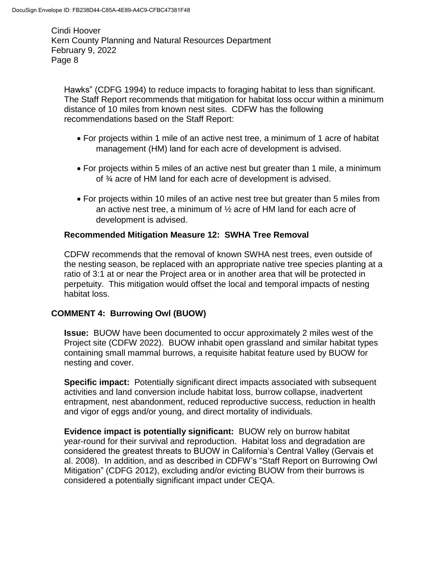Hawks" (CDFG 1994) to reduce impacts to foraging habitat to less than significant. The Staff Report recommends that mitigation for habitat loss occur within a minimum distance of 10 miles from known nest sites. CDFW has the following recommendations based on the Staff Report:

- For projects within 1 mile of an active nest tree, a minimum of 1 acre of habitat management (HM) land for each acre of development is advised.
- For projects within 5 miles of an active nest but greater than 1 mile, a minimum of ¾ acre of HM land for each acre of development is advised.
- For projects within 10 miles of an active nest tree but greater than 5 miles from an active nest tree, a minimum of ½ acre of HM land for each acre of development is advised.

# **Recommended Mitigation Measure 12: SWHA Tree Removal**

CDFW recommends that the removal of known SWHA nest trees, even outside of the nesting season, be replaced with an appropriate native tree species planting at a ratio of 3:1 at or near the Project area or in another area that will be protected in perpetuity. This mitigation would offset the local and temporal impacts of nesting habitat loss.

## **COMMENT 4: Burrowing Owl (BUOW)**

**Issue:** BUOW have been documented to occur approximately 2 miles west of the Project site (CDFW 2022). BUOW inhabit open grassland and similar habitat types containing small mammal burrows, a requisite habitat feature used by BUOW for nesting and cover.

**Specific impact:** Potentially significant direct impacts associated with subsequent activities and land conversion include habitat loss, burrow collapse, inadvertent entrapment, nest abandonment, reduced reproductive success, reduction in health and vigor of eggs and/or young, and direct mortality of individuals.

**Evidence impact is potentially significant:** BUOW rely on burrow habitat year-round for their survival and reproduction. Habitat loss and degradation are considered the greatest threats to BUOW in California's Central Valley (Gervais et al. 2008). In addition, and as described in CDFW's "Staff Report on Burrowing Owl Mitigation" (CDFG 2012), excluding and/or evicting BUOW from their burrows is considered a potentially significant impact under CEQA.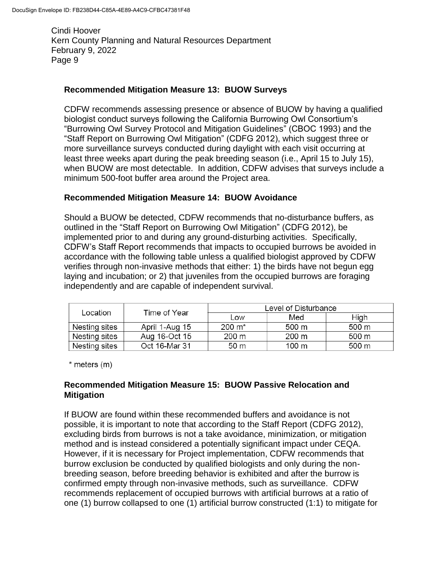## **Recommended Mitigation Measure 13: BUOW Surveys**

CDFW recommends assessing presence or absence of BUOW by having a qualified biologist conduct surveys following the California Burrowing Owl Consortium's "Burrowing Owl Survey Protocol and Mitigation Guidelines" (CBOC 1993) and the "Staff Report on Burrowing Owl Mitigation" (CDFG 2012), which suggest three or more surveillance surveys conducted during daylight with each visit occurring at least three weeks apart during the peak breeding season (i.e., April 15 to July 15), when BUOW are most detectable. In addition, CDFW advises that surveys include a minimum 500-foot buffer area around the Project area.

## **Recommended Mitigation Measure 14: BUOW Avoidance**

Should a BUOW be detected, CDFW recommends that no-disturbance buffers, as outlined in the "Staff Report on Burrowing Owl Mitigation" (CDFG 2012), be implemented prior to and during any ground-disturbing activities. Specifically, CDFW's Staff Report recommends that impacts to occupied burrows be avoided in accordance with the following table unless a qualified biologist approved by CDFW verifies through non-invasive methods that either: 1) the birds have not begun egg laying and incubation; or 2) that juveniles from the occupied burrows are foraging independently and are capable of independent survival.

| Location      | Time of Year   | Level of Disturbance |       |       |
|---------------|----------------|----------------------|-------|-------|
|               |                | Low                  | Med   | High  |
| Nesting sites | April 1-Aug 15 | $200 \; \text{m}^*$  | 500 m | 500 m |
| Nesting sites | Aug 16-Oct 15  | 200 m                | 200 m | 500 m |
| Nesting sites | Oct 16-Mar 31  | 50 m                 | 100 m | 500 m |

\* meters (m)

# **Recommended Mitigation Measure 15: BUOW Passive Relocation and Mitigation**

If BUOW are found within these recommended buffers and avoidance is not possible, it is important to note that according to the Staff Report (CDFG 2012), excluding birds from burrows is not a take avoidance, minimization, or mitigation method and is instead considered a potentially significant impact under CEQA. However, if it is necessary for Project implementation, CDFW recommends that burrow exclusion be conducted by qualified biologists and only during the nonbreeding season, before breeding behavior is exhibited and after the burrow is confirmed empty through non-invasive methods, such as surveillance. CDFW recommends replacement of occupied burrows with artificial burrows at a ratio of one (1) burrow collapsed to one (1) artificial burrow constructed (1:1) to mitigate for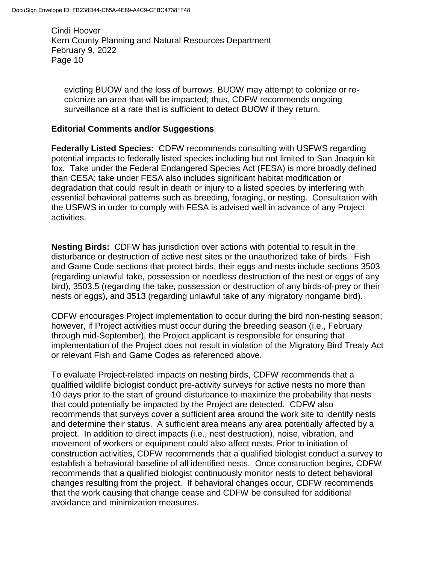evicting BUOW and the loss of burrows. BUOW may attempt to colonize or recolonize an area that will be impacted; thus, CDFW recommends ongoing surveillance at a rate that is sufficient to detect BUOW if they return.

#### **Editorial Comments and/or Suggestions**

**Federally Listed Species:** CDFW recommends consulting with USFWS regarding potential impacts to federally listed species including but not limited to San Joaquin kit fox*.* Take under the Federal Endangered Species Act (FESA) is more broadly defined than CESA; take under FESA also includes significant habitat modification or degradation that could result in death or injury to a listed species by interfering with essential behavioral patterns such as breeding, foraging, or nesting. Consultation with the USFWS in order to comply with FESA is advised well in advance of any Project activities.

**Nesting Birds:** CDFW has jurisdiction over actions with potential to result in the disturbance or destruction of active nest sites or the unauthorized take of birds. Fish and Game Code sections that protect birds, their eggs and nests include sections 3503 (regarding unlawful take, possession or needless destruction of the nest or eggs of any bird), 3503.5 (regarding the take, possession or destruction of any birds-of-prey or their nests or eggs), and 3513 (regarding unlawful take of any migratory nongame bird).

CDFW encourages Project implementation to occur during the bird non-nesting season; however, if Project activities must occur during the breeding season (i.e., February through mid-September), the Project applicant is responsible for ensuring that implementation of the Project does not result in violation of the Migratory Bird Treaty Act or relevant Fish and Game Codes as referenced above.

To evaluate Project-related impacts on nesting birds, CDFW recommends that a qualified wildlife biologist conduct pre-activity surveys for active nests no more than 10 days prior to the start of ground disturbance to maximize the probability that nests that could potentially be impacted by the Project are detected. CDFW also recommends that surveys cover a sufficient area around the work site to identify nests and determine their status. A sufficient area means any area potentially affected by a project. In addition to direct impacts (i.e., nest destruction), noise, vibration, and movement of workers or equipment could also affect nests. Prior to initiation of construction activities, CDFW recommends that a qualified biologist conduct a survey to establish a behavioral baseline of all identified nests. Once construction begins, CDFW recommends that a qualified biologist continuously monitor nests to detect behavioral changes resulting from the project. If behavioral changes occur, CDFW recommends that the work causing that change cease and CDFW be consulted for additional avoidance and minimization measures.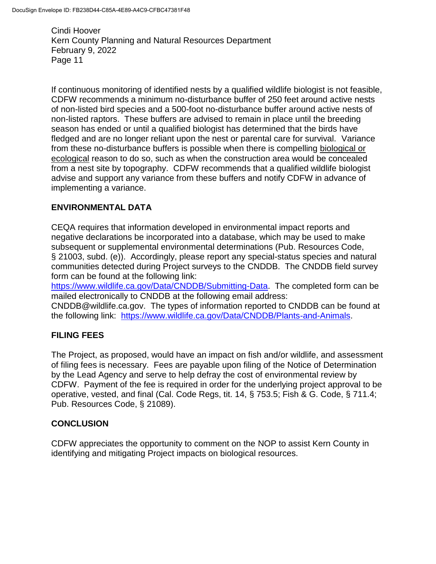If continuous monitoring of identified nests by a qualified wildlife biologist is not feasible, CDFW recommends a minimum no-disturbance buffer of 250 feet around active nests of non-listed bird species and a 500-foot no-disturbance buffer around active nests of non-listed raptors. These buffers are advised to remain in place until the breeding season has ended or until a qualified biologist has determined that the birds have fledged and are no longer reliant upon the nest or parental care for survival. Variance from these no-disturbance buffers is possible when there is compelling biological or ecological reason to do so, such as when the construction area would be concealed from a nest site by topography. CDFW recommends that a qualified wildlife biologist advise and support any variance from these buffers and notify CDFW in advance of implementing a variance.

# **ENVIRONMENTAL DATA**

CEQA requires that information developed in environmental impact reports and negative declarations be incorporated into a database, which may be used to make subsequent or supplemental environmental determinations (Pub. Resources Code, § 21003, subd. (e)). Accordingly, please report any special-status species and natural communities detected during Project surveys to the CNDDB. The CNDDB field survey form can be found at the following link:

[https://www.wildlife.ca.gov/Data/CNDDB/Submitting-Data.](https://www.wildlife.ca.gov/Data/CNDDB/Submitting-Data) The completed form can be mailed electronically to CNDDB at the following email address:

CNDDB@wildlife.ca.gov. The types of information reported to CNDDB can be found at the following link: [https://www.wildlife.ca.gov/Data/CNDDB/Plants-and-Animals.](https://www.wildlife.ca.gov/Data/CNDDB/Plants-and-Animals)

## **FILING FEES**

The Project, as proposed, would have an impact on fish and/or wildlife, and assessment of filing fees is necessary. Fees are payable upon filing of the Notice of Determination by the Lead Agency and serve to help defray the cost of environmental review by CDFW. Payment of the fee is required in order for the underlying project approval to be operative, vested, and final (Cal. Code Regs, tit. 14, § 753.5; Fish & G. Code, § 711.4; Pub. Resources Code, § 21089).

## **CONCLUSION**

CDFW appreciates the opportunity to comment on the NOP to assist Kern County in identifying and mitigating Project impacts on biological resources.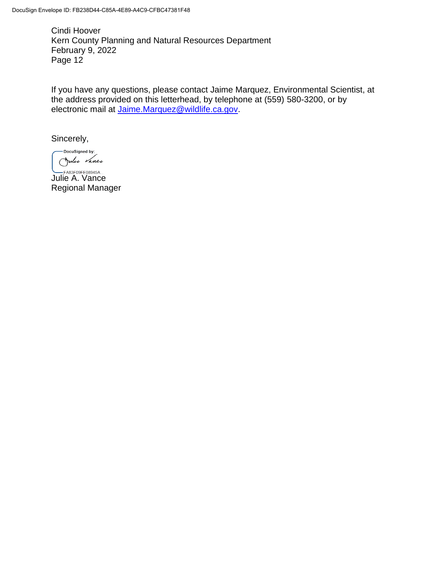If you have any questions, please contact Jaime Marquez, Environmental Scientist, at the address provided on this letterhead, by telephone at (559) 580-3200, or by electronic mail at [Jaime.Marquez@wildlife.ca.gov.](mailto:Jaime.Marquez@wildlife.ca.gov)

Sincerely,

-DocuSigned by: Julie Vance

**LEA83F09FE08945A...**<br>Julie A. Vance Regional Manager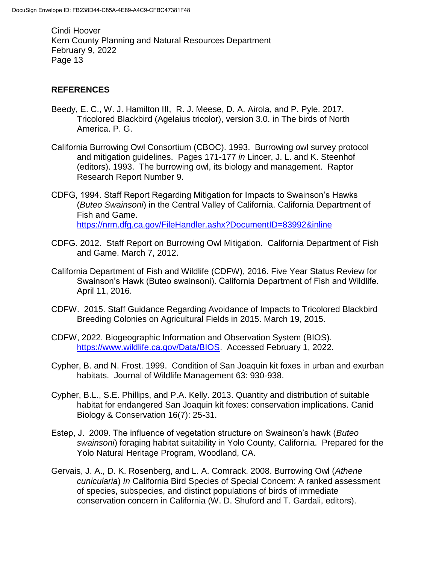# **REFERENCES**

- Beedy, E. C., W. J. Hamilton III, R. J. Meese, D. A. Airola, and P. Pyle. 2017. Tricolored Blackbird (Agelaius tricolor), version 3.0. in The birds of North America. P. G.
- California Burrowing Owl Consortium (CBOC). 1993. Burrowing owl survey protocol and mitigation guidelines. Pages 171-177 *in* Lincer, J. L. and K. Steenhof (editors). 1993. The burrowing owl, its biology and management. Raptor Research Report Number 9.
- CDFG, 1994. Staff Report Regarding Mitigation for Impacts to Swainson's Hawks (*Buteo Swainsoni*) in the Central Valley of California. California Department of Fish and Game. <https://nrm.dfg.ca.gov/FileHandler.ashx?DocumentID=83992&inline>
- CDFG. 2012. Staff Report on Burrowing Owl Mitigation. California Department of Fish and Game. March 7, 2012.
- California Department of Fish and Wildlife (CDFW), 2016. Five Year Status Review for Swainson's Hawk (Buteo swainsoni). California Department of Fish and Wildlife. April 11, 2016.
- CDFW. 2015. Staff Guidance Regarding Avoidance of Impacts to Tricolored Blackbird Breeding Colonies on Agricultural Fields in 2015. March 19, 2015.
- CDFW, 2022. Biogeographic Information and Observation System (BIOS). [https://www.wildlife.ca.gov/Data/BIOS.](https://www.wildlife.ca.gov/Data/BIOS) Accessed February 1, 2022.
- Cypher, B. and N. Frost. 1999. Condition of San Joaquin kit foxes in urban and exurban habitats. Journal of Wildlife Management 63: 930-938.
- Cypher, B.L., S.E. Phillips, and P.A. Kelly. 2013. Quantity and distribution of suitable habitat for endangered San Joaquin kit foxes: conservation implications. Canid Biology & Conservation 16(7): 25-31.
- Estep, J. 2009. The influence of vegetation structure on Swainson's hawk (*Buteo swainsoni*) foraging habitat suitability in Yolo County, California. Prepared for the Yolo Natural Heritage Program, Woodland, CA.
- Gervais, J. A., D. K. Rosenberg, and L. A. Comrack. 2008. Burrowing Owl (*Athene cunicularia*) *In* California Bird Species of Special Concern: A ranked assessment of species, subspecies, and distinct populations of birds of immediate conservation concern in California (W. D. Shuford and T. Gardali, editors).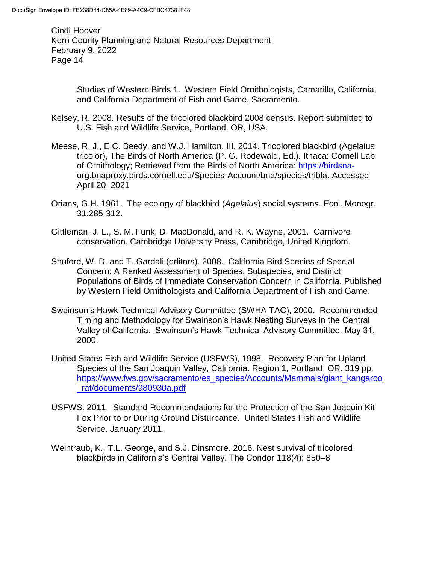> Studies of Western Birds 1. Western Field Ornithologists, Camarillo, California, and California Department of Fish and Game, Sacramento.

- Kelsey, R. 2008. Results of the tricolored blackbird 2008 census. Report submitted to U.S. Fish and Wildlife Service, Portland, OR, USA.
- Meese, R. J., E.C. Beedy, and W.J. Hamilton, III. 2014. Tricolored blackbird (Agelaius tricolor), The Birds of North America (P. G. Rodewald, Ed.). Ithaca: Cornell Lab of Ornithology; Retrieved from the Birds of North America: [https://birdsna](https://birdsna-/)org.bnaproxy.birds.cornell.edu/Species-Account/bna/species/tribla. Accessed April 20, 2021
- Orians, G.H. 1961. The ecology of blackbird (*Agelaius*) social systems. Ecol. Monogr. 31:285-312.
- Gittleman, J. L., S. M. Funk, D. MacDonald, and R. K. Wayne, 2001. Carnivore conservation. Cambridge University Press, Cambridge, United Kingdom.
- Shuford, W. D. and T. Gardali (editors). 2008. California Bird Species of Special Concern: A Ranked Assessment of Species, Subspecies, and Distinct Populations of Birds of Immediate Conservation Concern in California. Published by Western Field Ornithologists and California Department of Fish and Game.
- Swainson's Hawk Technical Advisory Committee (SWHA TAC), 2000. Recommended Timing and Methodology for Swainson's Hawk Nesting Surveys in the Central Valley of California. Swainson's Hawk Technical Advisory Committee. May 31, 2000.
- United States Fish and Wildlife Service (USFWS), 1998. Recovery Plan for Upland Species of the San Joaquin Valley, California. Region 1, Portland, OR. 319 pp. [https://www.fws.gov/sacramento/es\\_species/Accounts/Mammals/giant\\_kangaroo](https://www.fws.gov/sacramento/es_species/Accounts/Mammals/giant_kangaroo_rat/documents/980930a.pdf) [\\_rat/documents/980930a.pdf](https://www.fws.gov/sacramento/es_species/Accounts/Mammals/giant_kangaroo_rat/documents/980930a.pdf)
- USFWS. 2011. Standard Recommendations for the Protection of the San Joaquin Kit Fox Prior to or During Ground Disturbance. United States Fish and Wildlife Service. January 2011.
- Weintraub, K., T.L. George, and S.J. Dinsmore. 2016. Nest survival of tricolored blackbirds in California's Central Valley. The Condor 118(4): 850–8